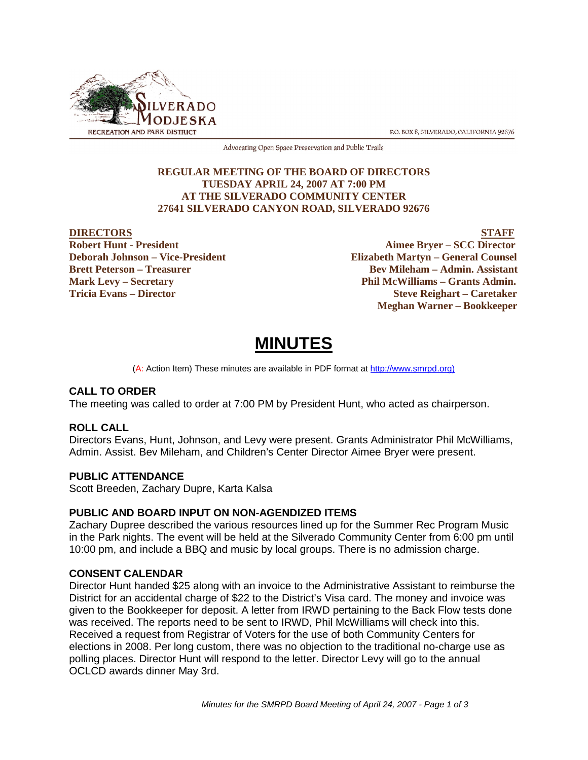

P.O. BOX 8, SILVERADO, CALIFORNIA 92676

Advocating Open Space Preservation and Public Trails

# **REGULAR MEETING OF THE BOARD OF DIRECTORS TUESDAY APRIL 24, 2007 AT 7:00 PM AT THE SILVERADO COMMUNITY CENTER 27641 SILVERADO CANYON ROAD, SILVERADO 92676**

EXTERNAL PROPERTY **DIRECTORS**<br>
Bobert Hunt - President Aimee Brver – SCC Director **Aimee Bryer – SCC Director Deborah Johnson – Vice-President Elizabeth Martyn – General Counsel Brett Peterson – Treasurer States and Bev Mileham – Admin. Assistant Mark Levy – Secretary Phil McWilliams – Grants Admin. Tricia Evans – Director Steve Reighart – Caretaker Meghan Warner – Bookkeeper**

# **MINUTES**

(A: Action Item) These minutes are available in PDF format at http://www.smrpd.org)

# **CALL TO ORDER**

The meeting was called to order at 7:00 PM by President Hunt, who acted as chairperson.

# **ROLL CALL**

Directors Evans, Hunt, Johnson, and Levy were present. Grants Administrator Phil McWilliams, Admin. Assist. Bev Mileham, and Children's Center Director Aimee Bryer were present.

# **PUBLIC ATTENDANCE**

Scott Breeden, Zachary Dupre, Karta Kalsa

# **PUBLIC AND BOARD INPUT ON NON-AGENDIZED ITEMS**

Zachary Dupree described the various resources lined up for the Summer Rec Program Music in the Park nights. The event will be held at the Silverado Community Center from 6:00 pm until 10:00 pm, and include a BBQ and music by local groups. There is no admission charge.

# **CONSENT CALENDAR**

Director Hunt handed \$25 along with an invoice to the Administrative Assistant to reimburse the District for an accidental charge of \$22 to the District's Visa card. The money and invoice was given to the Bookkeeper for deposit. A letter from IRWD pertaining to the Back Flow tests done was received. The reports need to be sent to IRWD, Phil McWilliams will check into this. Received a request from Registrar of Voters for the use of both Community Centers for elections in 2008. Per long custom, there was no objection to the traditional no-charge use as polling places. Director Hunt will respond to the letter. Director Levy will go to the annual OCLCD awards dinner May 3rd.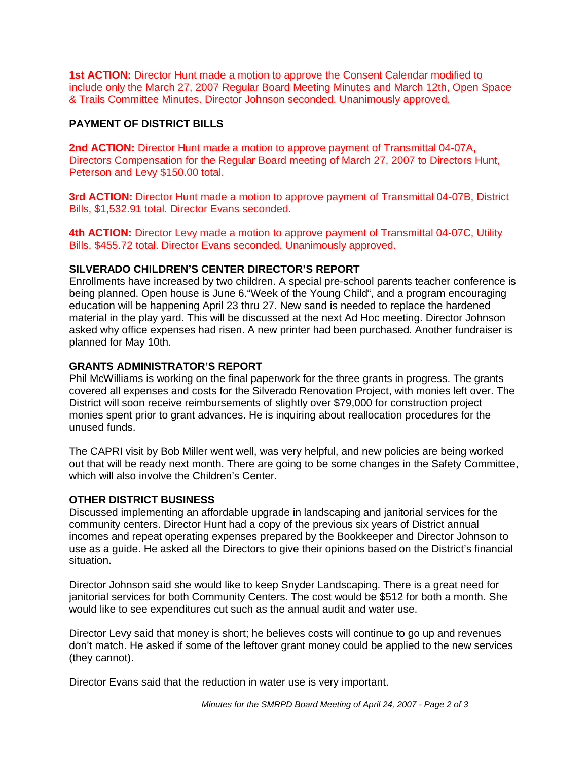**1st ACTION:** Director Hunt made a motion to approve the Consent Calendar modified to include only the March 27, 2007 Regular Board Meeting Minutes and March 12th, Open Space & Trails Committee Minutes. Director Johnson seconded. Unanimously approved.

# **PAYMENT OF DISTRICT BILLS**

**2nd ACTION:** Director Hunt made a motion to approve payment of Transmittal 04-07A, Directors Compensation for the Regular Board meeting of March 27, 2007 to Directors Hunt, Peterson and Levy \$150.00 total.

**3rd ACTION:** Director Hunt made a motion to approve payment of Transmittal 04-07B, District Bills, \$1,532.91 total. Director Evans seconded.

**4th ACTION:** Director Levy made a motion to approve payment of Transmittal 04-07C, Utility Bills, \$455.72 total. Director Evans seconded. Unanimously approved.

# **SILVERADO CHILDREN'S CENTER DIRECTOR'S REPORT**

Enrollments have increased by two children. A special pre-school parents teacher conference is being planned. Open house is June 6."Week of the Young Child", and a program encouraging education will be happening April 23 thru 27. New sand is needed to replace the hardened material in the play yard. This will be discussed at the next Ad Hoc meeting. Director Johnson asked why office expenses had risen. A new printer had been purchased. Another fundraiser is planned for May 10th.

# **GRANTS ADMINISTRATOR'S REPORT**

Phil McWilliams is working on the final paperwork for the three grants in progress. The grants covered all expenses and costs for the Silverado Renovation Project, with monies left over. The District will soon receive reimbursements of slightly over \$79,000 for construction project monies spent prior to grant advances. He is inquiring about reallocation procedures for the unused funds.

The CAPRI visit by Bob Miller went well, was very helpful, and new policies are being worked out that will be ready next month. There are going to be some changes in the Safety Committee, which will also involve the Children's Center.

# **OTHER DISTRICT BUSINESS**

Discussed implementing an affordable upgrade in landscaping and janitorial services for the community centers. Director Hunt had a copy of the previous six years of District annual incomes and repeat operating expenses prepared by the Bookkeeper and Director Johnson to use as a guide. He asked all the Directors to give their opinions based on the District's financial situation.

Director Johnson said she would like to keep Snyder Landscaping. There is a great need for janitorial services for both Community Centers. The cost would be \$512 for both a month. She would like to see expenditures cut such as the annual audit and water use.

Director Levy said that money is short; he believes costs will continue to go up and revenues don't match. He asked if some of the leftover grant money could be applied to the new services (they cannot).

Director Evans said that the reduction in water use is very important.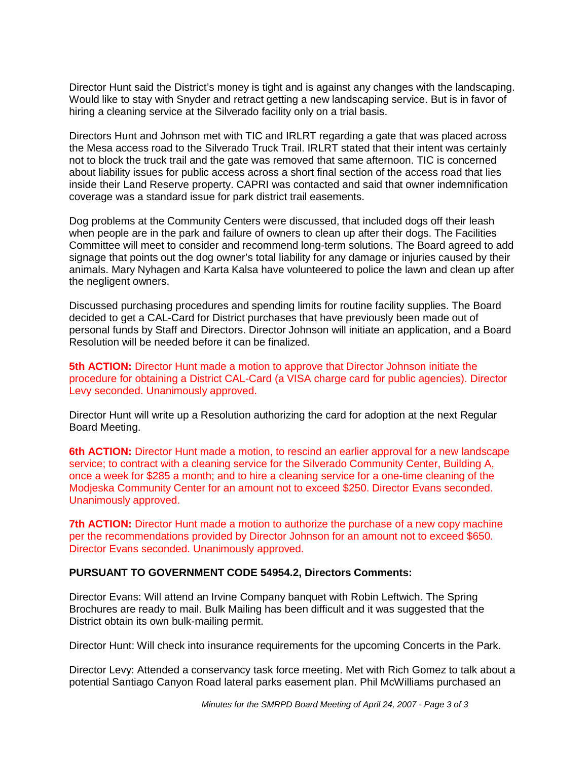Director Hunt said the District's money is tight and is against any changes with the landscaping. Would like to stay with Snyder and retract getting a new landscaping service. But is in favor of hiring a cleaning service at the Silverado facility only on a trial basis.

Directors Hunt and Johnson met with TIC and IRLRT regarding a gate that was placed across the Mesa access road to the Silverado Truck Trail. IRLRT stated that their intent was certainly not to block the truck trail and the gate was removed that same afternoon. TIC is concerned about liability issues for public access across a short final section of the access road that lies inside their Land Reserve property. CAPRI was contacted and said that owner indemnification coverage was a standard issue for park district trail easements.

Dog problems at the Community Centers were discussed, that included dogs off their leash when people are in the park and failure of owners to clean up after their dogs. The Facilities Committee will meet to consider and recommend long-term solutions. The Board agreed to add signage that points out the dog owner's total liability for any damage or injuries caused by their animals. Mary Nyhagen and Karta Kalsa have volunteered to police the lawn and clean up after the negligent owners.

Discussed purchasing procedures and spending limits for routine facility supplies. The Board decided to get a CAL-Card for District purchases that have previously been made out of personal funds by Staff and Directors. Director Johnson will initiate an application, and a Board Resolution will be needed before it can be finalized.

**5th ACTION:** Director Hunt made a motion to approve that Director Johnson initiate the procedure for obtaining a District CAL-Card (a VISA charge card for public agencies). Director Levy seconded. Unanimously approved.

Director Hunt will write up a Resolution authorizing the card for adoption at the next Regular Board Meeting.

**6th ACTION:** Director Hunt made a motion, to rescind an earlier approval for a new landscape service; to contract with a cleaning service for the Silverado Community Center, Building A, once a week for \$285 a month; and to hire a cleaning service for a one-time cleaning of the Modjeska Community Center for an amount not to exceed \$250. Director Evans seconded. Unanimously approved.

**7th ACTION:** Director Hunt made a motion to authorize the purchase of a new copy machine per the recommendations provided by Director Johnson for an amount not to exceed \$650. Director Evans seconded. Unanimously approved.

# **PURSUANT TO GOVERNMENT CODE 54954.2, Directors Comments:**

Director Evans: Will attend an Irvine Company banquet with Robin Leftwich. The Spring Brochures are ready to mail. Bulk Mailing has been difficult and it was suggested that the District obtain its own bulk-mailing permit.

Director Hunt: Will check into insurance requirements for the upcoming Concerts in the Park.

Director Levy: Attended a conservancy task force meeting. Met with Rich Gomez to talk about a potential Santiago Canyon Road lateral parks easement plan. Phil McWilliams purchased an